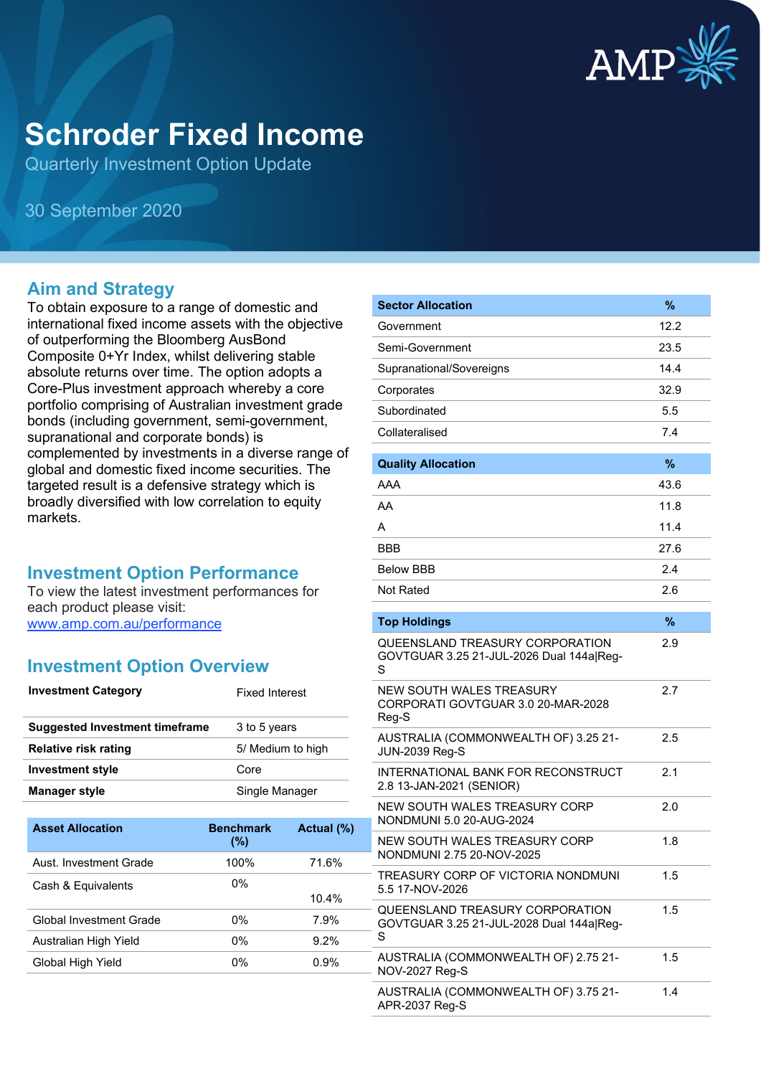

# **Schroder Fixed Income**

Quarterly Investment Option Update

30 September 2020

#### **Aim and Strategy**

To obtain exposure to a range of domestic and international fixed income assets with the objective of outperforming the Bloomberg AusBond Composite 0+Yr Index, whilst delivering stable absolute returns over time. The option adopts a Core-Plus investment approach whereby a core portfolio comprising of Australian investment grade bonds (including government, semi-government, supranational and corporate bonds) is complemented by investments in a diverse range of global and domestic fixed income securities. The targeted result is a defensive strategy which is broadly diversified with low correlation to equity markets.

#### **Investment Option Performance**

To view the latest investment performances for each product please visit: [www.amp.com.au/performance](https://www.amp.com.au/performance)

#### **Investment Option Overview**

| <b>Investment Category</b>            | <b>Fixed Interest</b> |
|---------------------------------------|-----------------------|
| <b>Suggested Investment timeframe</b> | 3 to 5 years          |
| Relative risk rating                  | 5/ Medium to high     |
| <b>Investment style</b>               | Core                  |
| <b>Manager style</b>                  | Single Manager        |
|                                       |                       |

| <b>Asset Allocation</b> | <b>Benchmark</b><br>(%) | Actual (%) |
|-------------------------|-------------------------|------------|
| Aust. Investment Grade  | 100%                    | 71.6%      |
| Cash & Equivalents      | $0\%$                   |            |
|                         |                         | 10.4%      |
| Global Investment Grade | 0%                      | 7.9%       |
| Australian High Yield   | 0%                      | $9.2\%$    |
| Global High Yield       | 0%                      | $0.9\%$    |
|                         |                         |            |

| <b>Sector Allocation</b>                                                         | %    |
|----------------------------------------------------------------------------------|------|
| Government                                                                       | 12.2 |
| Semi-Government                                                                  | 23.5 |
| Supranational/Sovereigns                                                         | 14.4 |
| Corporates                                                                       | 32.9 |
| Subordinated                                                                     | 5.5  |
| Collateralised                                                                   | 7.4  |
| <b>Quality Allocation</b>                                                        | %    |
| AAA                                                                              | 43.6 |
| AA                                                                               | 11.8 |
| А                                                                                | 11.4 |
| BBB                                                                              | 27.6 |
| <b>Below BBB</b>                                                                 | 2.4  |
| Not Rated                                                                        | 2.6  |
| <b>Top Holdings</b>                                                              | $\%$ |
| QUEENSLAND TREASURY CORPORATION                                                  | 2.9  |
| GOVTGUAR 3.25 21-JUL-2026 Dual 144a Reg-<br>S                                    |      |
| <b>NEW SOUTH WALES TREASURY</b><br>CORPORATI GOVTGUAR 3.0 20-MAR-2028<br>Reg-S   | 2.7  |
| AUSTRALIA (COMMONWEALTH OF) 3.25 21-<br><b>JUN-2039 Reg-S</b>                    | 2.5  |
| <b>INTERNATIONAL BANK FOR RECONSTRUCT</b><br>2.8 13-JAN-2021 (SENIOR)            | 2.1  |
| NEW SOUTH WALES TREASURY CORP<br>NONDMUNI 5.0 20-AUG-2024                        | 2.0  |
| NEW SOUTH WALES TREASURY CORP<br>NONDMUNI 2.75 20-NOV-2025                       | 1.8  |
| TREASURY CORP OF VICTORIA NONDMUNI<br>5.5 17-NOV-2026                            | 1.5  |
| QUEENSLAND TREASURY CORPORATION<br>GOVTGUAR 3.25 21-JUL-2028 Dual 144a Reg-<br>S | 1.5  |
| AUSTRALIA (COMMONWEALTH OF) 2.75 21-<br><b>NOV-2027 Reg-S</b>                    | 1.5  |
| AUSTRALIA (COMMONWEALTH OF) 3.75 21-<br>APR-2037 Reg-S                           | 1.4  |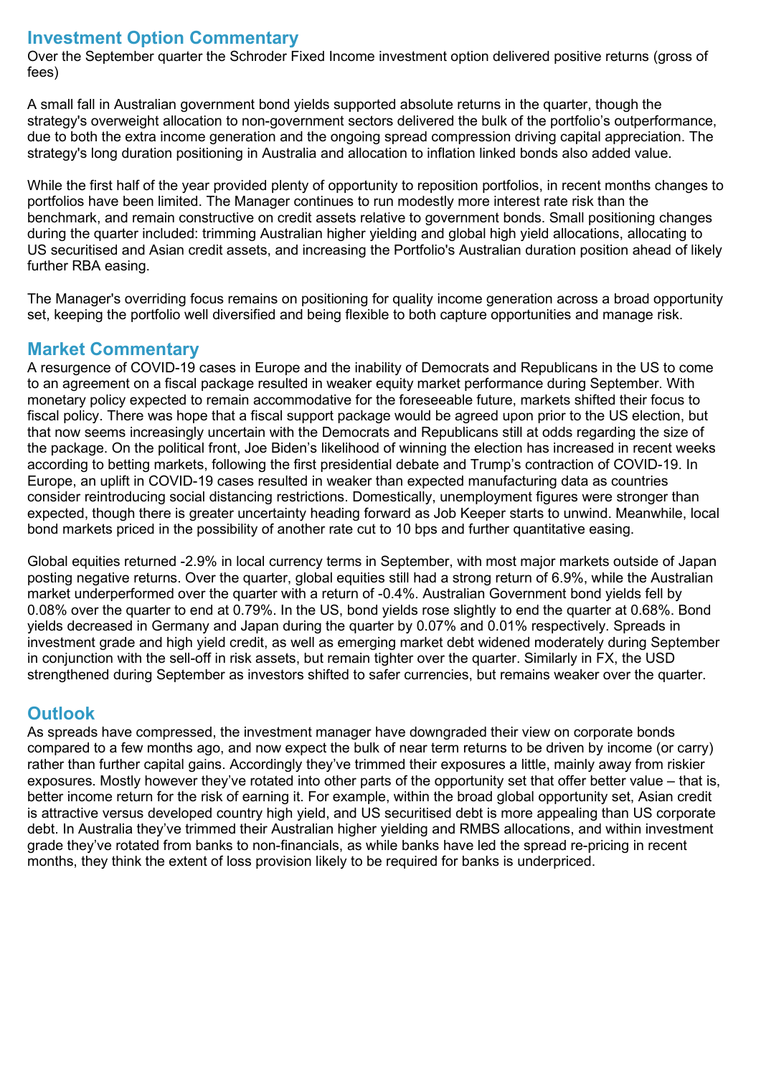## **Investment Option Commentary**

Over the September quarter the Schroder Fixed Income investment option delivered positive returns (gross of fees)

A small fall in Australian government bond yields supported absolute returns in the quarter, though the strategy's overweight allocation to non-government sectors delivered the bulk of the portfolio's outperformance, due to both the extra income generation and the ongoing spread compression driving capital appreciation. The strategy's long duration positioning in Australia and allocation to inflation linked bonds also added value.

While the first half of the year provided plenty of opportunity to reposition portfolios, in recent months changes to portfolios have been limited. The Manager continues to run modestly more interest rate risk than the benchmark, and remain constructive on credit assets relative to government bonds. Small positioning changes during the quarter included: trimming Australian higher yielding and global high yield allocations, allocating to US securitised and Asian credit assets, and increasing the Portfolio's Australian duration position ahead of likely further RBA easing.

The Manager's overriding focus remains on positioning for quality income generation across a broad opportunity set, keeping the portfolio well diversified and being flexible to both capture opportunities and manage risk.

## **Market Commentary**

A resurgence of COVID-19 cases in Europe and the inability of Democrats and Republicans in the US to come to an agreement on a fiscal package resulted in weaker equity market performance during September. With monetary policy expected to remain accommodative for the foreseeable future, markets shifted their focus to fiscal policy. There was hope that a fiscal support package would be agreed upon prior to the US election, but that now seems increasingly uncertain with the Democrats and Republicans still at odds regarding the size of the package. On the political front, Joe Biden's likelihood of winning the election has increased in recent weeks according to betting markets, following the first presidential debate and Trump's contraction of COVID-19. In Europe, an uplift in COVID-19 cases resulted in weaker than expected manufacturing data as countries consider reintroducing social distancing restrictions. Domestically, unemployment figures were stronger than expected, though there is greater uncertainty heading forward as Job Keeper starts to unwind. Meanwhile, local bond markets priced in the possibility of another rate cut to 10 bps and further quantitative easing.

Global equities returned -2.9% in local currency terms in September, with most major markets outside of Japan posting negative returns. Over the quarter, global equities still had a strong return of 6.9%, while the Australian market underperformed over the quarter with a return of -0.4%. Australian Government bond yields fell by 0.08% over the quarter to end at 0.79%. In the US, bond yields rose slightly to end the quarter at 0.68%. Bond yields decreased in Germany and Japan during the quarter by 0.07% and 0.01% respectively. Spreads in investment grade and high yield credit, as well as emerging market debt widened moderately during September in conjunction with the sell-off in risk assets, but remain tighter over the quarter. Similarly in FX, the USD strengthened during September as investors shifted to safer currencies, but remains weaker over the quarter.

#### **Outlook**

As spreads have compressed, the investment manager have downgraded their view on corporate bonds compared to a few months ago, and now expect the bulk of near term returns to be driven by income (or carry) rather than further capital gains. Accordingly they've trimmed their exposures a little, mainly away from riskier exposures. Mostly however they've rotated into other parts of the opportunity set that offer better value – that is, better income return for the risk of earning it. For example, within the broad global opportunity set, Asian credit is attractive versus developed country high yield, and US securitised debt is more appealing than US corporate debt. In Australia they've trimmed their Australian higher yielding and RMBS allocations, and within investment grade they've rotated from banks to non-financials, as while banks have led the spread re-pricing in recent months, they think the extent of loss provision likely to be required for banks is underpriced.